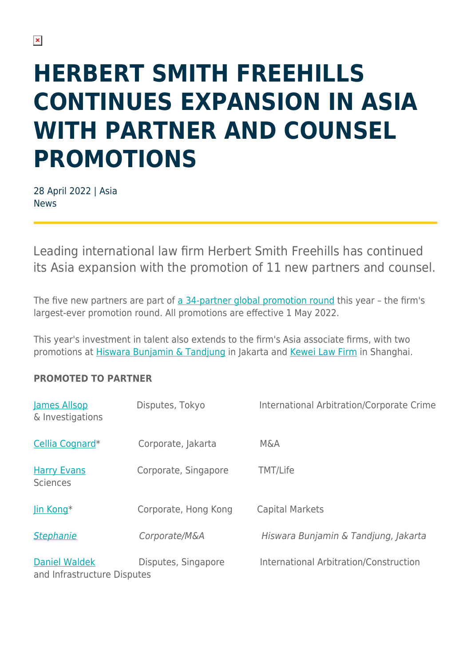# **HERBERT SMITH FREEHILLS CONTINUES EXPANSION IN ASIA WITH PARTNER AND COUNSEL PROMOTIONS**

28 April 2022 | Asia News

Leading international law firm Herbert Smith Freehills has continued its Asia expansion with the promotion of 11 new partners and counsel.

The five new partners are part of [a 34-partner global promotion round](https://www.herbertsmithfreehills.com/news/herbert-smith-freehills-promotes-34-to-partnership) this year – the firm's largest-ever promotion round. All promotions are effective 1 May 2022.

This year's investment in talent also extends to the firm's Asia associate firms, with two promotions at [Hiswara Bunjamin & Tandjung](http://www.hbtlaw.com) in Jakarta and [Kewei Law Firm](http://www.kewei-law.cn/) in Shanghai.

### **PROMOTED TO PARTNER**

| James Allsop<br>& Investigations             | Disputes, Tokyo      | International Arbitration/Corporate Crime |
|----------------------------------------------|----------------------|-------------------------------------------|
| Cellia Cognard*                              | Corporate, Jakarta   | <b>M&amp;A</b>                            |
| <b>Harry Evans</b><br><b>Sciences</b>        | Corporate, Singapore | <b>TMT/Life</b>                           |
| Jin Kong*                                    | Corporate, Hong Kong | <b>Capital Markets</b>                    |
| <b>Stephanie</b>                             | Corporate/M&A        | Hiswara Bunjamin & Tandjung, Jakarta      |
| Daniel Waldek<br>and Infrastructure Disputes | Disputes, Singapore  | International Arbitration/Construction    |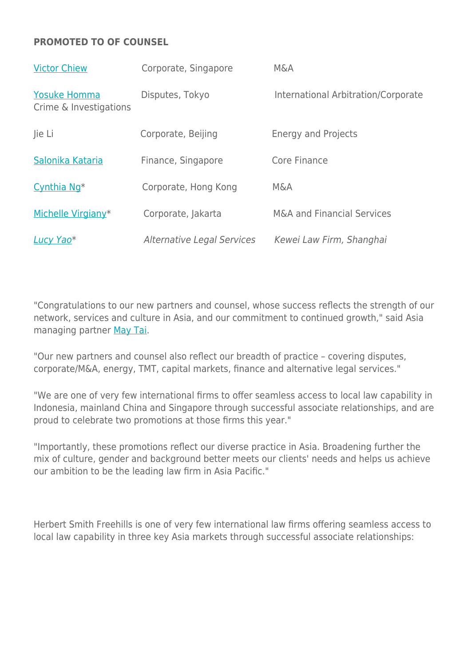### **PROMOTED TO OF COUNSEL**

| <b>Victor Chiew</b>                           | Corporate, Singapore              | <b>M&amp;A</b>                        |
|-----------------------------------------------|-----------------------------------|---------------------------------------|
| <b>Yosuke Homma</b><br>Crime & Investigations | Disputes, Tokyo                   | International Arbitration/Corporate   |
| Jie Li                                        | Corporate, Beijing                | <b>Energy and Projects</b>            |
| Salonika Kataria                              | Finance, Singapore                | Core Finance                          |
| Cynthia Ng <sup>*</sup>                       | Corporate, Hong Kong              | <b>M&amp;A</b>                        |
| Michelle Virgiany*                            | Corporate, Jakarta                | <b>M&amp;A and Financial Services</b> |
| Lucy Yao <sup>*</sup>                         | <b>Alternative Legal Services</b> | Kewei Law Firm, Shanghai              |

"Congratulations to our new partners and counsel, whose success reflects the strength of our network, services and culture in Asia, and our commitment to continued growth," said Asia managing partner [May Tai.](https://www.herbertsmithfreehills.com/our-people/may-tai)

"Our new partners and counsel also reflect our breadth of practice – covering disputes, corporate/M&A, energy, TMT, capital markets, finance and alternative legal services."

"We are one of very few international firms to offer seamless access to local law capability in Indonesia, mainland China and Singapore through successful associate relationships, and are proud to celebrate two promotions at those firms this year."

"Importantly, these promotions reflect our diverse practice in Asia. Broadening further the mix of culture, gender and background better meets our clients' needs and helps us achieve our ambition to be the leading law firm in Asia Pacific."

Herbert Smith Freehills is one of very few international law firms offering seamless access to local law capability in three key Asia markets through successful associate relationships: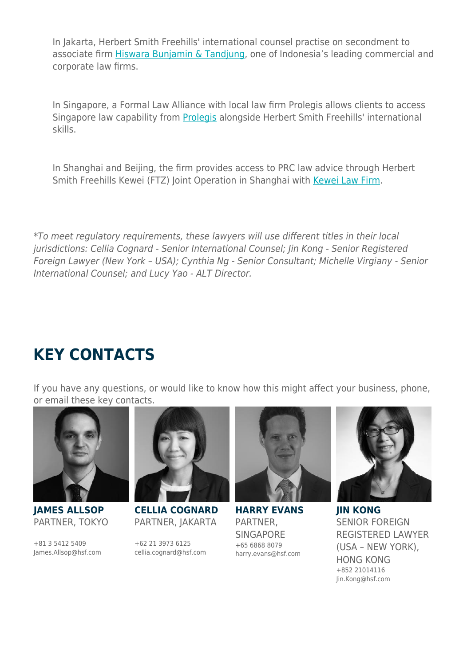In Jakarta, Herbert Smith Freehills' international counsel practise on secondment to associate firm [Hiswara Bunjamin & Tandjung](https://www.hbtlaw.com), one of Indonesia's leading commercial and corporate law firms.

In Singapore, a Formal Law Alliance with local law firm Prolegis allows clients to access Singapore law capability from [Prolegis](https://www.pro-legis.com/) alongside Herbert Smith Freehills' international skills.

In Shanghai and Beijing, the firm provides access to PRC law advice through Herbert Smith Freehills Kewei (FTZ) Joint Operation in Shanghai with [Kewei Law Firm.](https://www.kewei-law.cn/)

\*To meet regulatory requirements, these lawyers will use different titles in their local jurisdictions: Cellia Cognard - Senior International Counsel; Jin Kong - Senior Registered Foreign Lawyer (New York – USA); Cynthia Ng - Senior Consultant; Michelle Virgiany - Senior International Counsel; and Lucy Yao - ALT Director.

## **KEY CONTACTS**

If you have any questions, or would like to know how this might affect your business, phone, or email these key contacts.



**JAMES ALLSOP** PARTNER, TOKYO

+81 3 5412 5409 James.Allsop@hsf.com



**CELLIA COGNARD** PARTNER, JAKARTA

+62 21 3973 6125 cellia.cognard@hsf.com



**HARRY EVANS** PARTNER, **SINGAPORE** +65 6868 8079 harry.evans@hsf.com



**JIN KONG** SENIOR FOREIGN REGISTERED LAWYER (USA – NEW YORK), HONG KONG +852 21014116 Jin.Kong@hsf.com